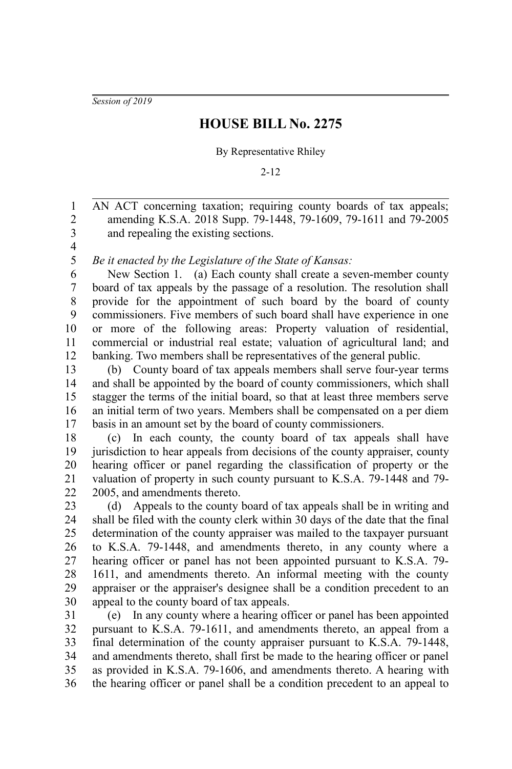*Session of 2019*

## **HOUSE BILL No. 2275**

## By Representative Rhiley

## 2-12

AN ACT concerning taxation; requiring county boards of tax appeals; amending K.S.A. 2018 Supp. 79-1448, 79-1609, 79-1611 and 79-2005 and repealing the existing sections. 1 2 3

4 5

*Be it enacted by the Legislature of the State of Kansas:*

New Section 1. (a) Each county shall create a seven-member county board of tax appeals by the passage of a resolution. The resolution shall provide for the appointment of such board by the board of county commissioners. Five members of such board shall have experience in one or more of the following areas: Property valuation of residential, commercial or industrial real estate; valuation of agricultural land; and banking. Two members shall be representatives of the general public. 6 7 8 9 10 11 12

(b) County board of tax appeals members shall serve four-year terms and shall be appointed by the board of county commissioners, which shall stagger the terms of the initial board, so that at least three members serve an initial term of two years. Members shall be compensated on a per diem basis in an amount set by the board of county commissioners. 13 14 15 16 17

(c) In each county, the county board of tax appeals shall have jurisdiction to hear appeals from decisions of the county appraiser, county hearing officer or panel regarding the classification of property or the valuation of property in such county pursuant to K.S.A. 79-1448 and 79- 2005, and amendments thereto. 18 19 20 21 22

(d) Appeals to the county board of tax appeals shall be in writing and shall be filed with the county clerk within 30 days of the date that the final determination of the county appraiser was mailed to the taxpayer pursuant to K.S.A. 79-1448, and amendments thereto, in any county where a hearing officer or panel has not been appointed pursuant to K.S.A. 79- 1611, and amendments thereto. An informal meeting with the county appraiser or the appraiser's designee shall be a condition precedent to an appeal to the county board of tax appeals. 23 24 25 26 27 28 29 30

(e) In any county where a hearing officer or panel has been appointed pursuant to K.S.A. 79-1611, and amendments thereto, an appeal from a final determination of the county appraiser pursuant to K.S.A. 79-1448, and amendments thereto, shall first be made to the hearing officer or panel as provided in K.S.A. 79-1606, and amendments thereto. A hearing with the hearing officer or panel shall be a condition precedent to an appeal to 31 32 33 34 35 36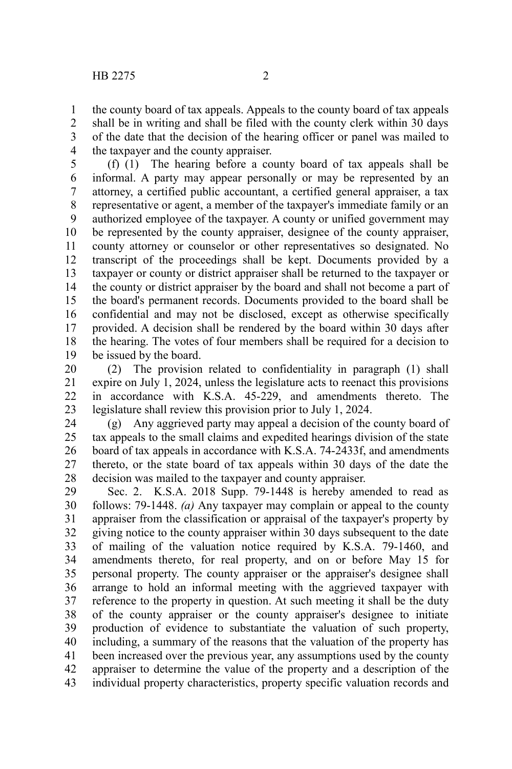the county board of tax appeals. Appeals to the county board of tax appeals shall be in writing and shall be filed with the county clerk within 30 days of the date that the decision of the hearing officer or panel was mailed to the taxpayer and the county appraiser. 1 2 3 4

(f) (1) The hearing before a county board of tax appeals shall be informal. A party may appear personally or may be represented by an attorney, a certified public accountant, a certified general appraiser, a tax representative or agent, a member of the taxpayer's immediate family or an authorized employee of the taxpayer. A county or unified government may be represented by the county appraiser, designee of the county appraiser, county attorney or counselor or other representatives so designated. No transcript of the proceedings shall be kept. Documents provided by a taxpayer or county or district appraiser shall be returned to the taxpayer or the county or district appraiser by the board and shall not become a part of the board's permanent records. Documents provided to the board shall be confidential and may not be disclosed, except as otherwise specifically provided. A decision shall be rendered by the board within 30 days after the hearing. The votes of four members shall be required for a decision to be issued by the board. 5 6 7 8 9 10 11 12 13 14 15 16 17 18 19

(2) The provision related to confidentiality in paragraph (1) shall expire on July 1, 2024, unless the legislature acts to reenact this provisions in accordance with K.S.A. 45-229, and amendments thereto. The legislature shall review this provision prior to July 1, 2024. 20 21 22 23

(g) Any aggrieved party may appeal a decision of the county board of tax appeals to the small claims and expedited hearings division of the state board of tax appeals in accordance with K.S.A. 74-2433f, and amendments thereto, or the state board of tax appeals within 30 days of the date the decision was mailed to the taxpayer and county appraiser. 24 25 26 27 28

Sec. 2. K.S.A. 2018 Supp. 79-1448 is hereby amended to read as follows: 79-1448. *(a)* Any taxpayer may complain or appeal to the county appraiser from the classification or appraisal of the taxpayer's property by giving notice to the county appraiser within 30 days subsequent to the date of mailing of the valuation notice required by K.S.A. 79-1460, and amendments thereto, for real property, and on or before May 15 for personal property. The county appraiser or the appraiser's designee shall arrange to hold an informal meeting with the aggrieved taxpayer with reference to the property in question. At such meeting it shall be the duty of the county appraiser or the county appraiser's designee to initiate production of evidence to substantiate the valuation of such property, including, a summary of the reasons that the valuation of the property has been increased over the previous year, any assumptions used by the county appraiser to determine the value of the property and a description of the individual property characteristics, property specific valuation records and 29 30 31 32 33 34 35 36 37 38 39 40 41 42 43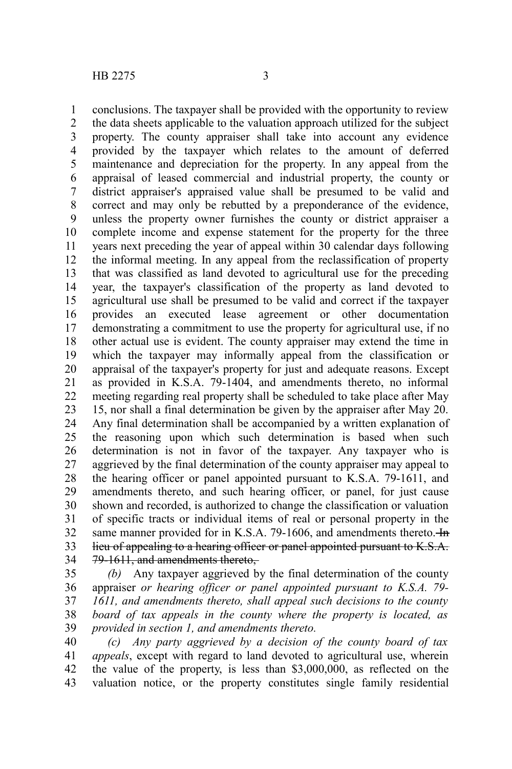conclusions. The taxpayer shall be provided with the opportunity to review the data sheets applicable to the valuation approach utilized for the subject property. The county appraiser shall take into account any evidence provided by the taxpayer which relates to the amount of deferred maintenance and depreciation for the property. In any appeal from the appraisal of leased commercial and industrial property, the county or district appraiser's appraised value shall be presumed to be valid and correct and may only be rebutted by a preponderance of the evidence, unless the property owner furnishes the county or district appraiser a complete income and expense statement for the property for the three years next preceding the year of appeal within 30 calendar days following the informal meeting. In any appeal from the reclassification of property that was classified as land devoted to agricultural use for the preceding year, the taxpayer's classification of the property as land devoted to agricultural use shall be presumed to be valid and correct if the taxpayer provides an executed lease agreement or other documentation demonstrating a commitment to use the property for agricultural use, if no other actual use is evident. The county appraiser may extend the time in which the taxpayer may informally appeal from the classification or appraisal of the taxpayer's property for just and adequate reasons. Except as provided in K.S.A. 79-1404, and amendments thereto, no informal meeting regarding real property shall be scheduled to take place after May 15, nor shall a final determination be given by the appraiser after May 20. Any final determination shall be accompanied by a written explanation of the reasoning upon which such determination is based when such determination is not in favor of the taxpayer. Any taxpayer who is aggrieved by the final determination of the county appraiser may appeal to the hearing officer or panel appointed pursuant to K.S.A. 79-1611, and amendments thereto, and such hearing officer, or panel, for just cause shown and recorded, is authorized to change the classification or valuation of specific tracts or individual items of real or personal property in the same manner provided for in K.S.A. 79-1606, and amendments thereto.  $\frac{1}{2}$ lieu of appealing to a hearing officer or panel appointed pursuant to K.S.A. 79-1611, and amendments thereto, 1 2 3 4 5 6 7 8 9 10 11 12 13 14 15 16 17 18 19 20 21 22 23 24 25 26 27 28 29 30 31 32 33 34

*(b)* Any taxpayer aggrieved by the final determination of the county appraiser *or hearing officer or panel appointed pursuant to K.S.A. 79- 1611, and amendments thereto, shall appeal such decisions to the county board of tax appeals in the county where the property is located, as provided in section 1, and amendments thereto.* 35 36 37 38 39

*(c) Any party aggrieved by a decision of the county board of tax appeals*, except with regard to land devoted to agricultural use, wherein the value of the property, is less than \$3,000,000, as reflected on the valuation notice, or the property constitutes single family residential 40 41 42 43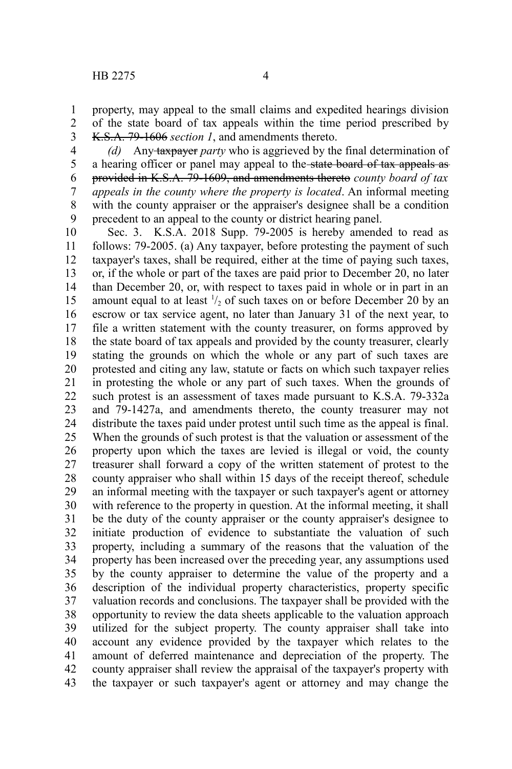1 2 3

property, may appeal to the small claims and expedited hearings division of the state board of tax appeals within the time period prescribed by K.S.A. 79-1606 *section 1*, and amendments thereto.

*(d)* Any taxpayer *party* who is aggrieved by the final determination of a hearing officer or panel may appeal to the state board of tax appeals as provided in K.S.A. 79-1609, and amendments thereto *county board of tax appeals in the county where the property is located*. An informal meeting with the county appraiser or the appraiser's designee shall be a condition precedent to an appeal to the county or district hearing panel. 4 5 6 7 8 9

Sec. 3. K.S.A. 2018 Supp. 79-2005 is hereby amended to read as follows: 79-2005. (a) Any taxpayer, before protesting the payment of such taxpayer's taxes, shall be required, either at the time of paying such taxes, or, if the whole or part of the taxes are paid prior to December 20, no later than December 20, or, with respect to taxes paid in whole or in part in an amount equal to at least  $\frac{1}{2}$  of such taxes on or before December 20 by an escrow or tax service agent, no later than January 31 of the next year, to file a written statement with the county treasurer, on forms approved by the state board of tax appeals and provided by the county treasurer, clearly stating the grounds on which the whole or any part of such taxes are protested and citing any law, statute or facts on which such taxpayer relies in protesting the whole or any part of such taxes. When the grounds of such protest is an assessment of taxes made pursuant to K.S.A. 79-332a and 79-1427a, and amendments thereto, the county treasurer may not distribute the taxes paid under protest until such time as the appeal is final. When the grounds of such protest is that the valuation or assessment of the property upon which the taxes are levied is illegal or void, the county treasurer shall forward a copy of the written statement of protest to the county appraiser who shall within 15 days of the receipt thereof, schedule an informal meeting with the taxpayer or such taxpayer's agent or attorney with reference to the property in question. At the informal meeting, it shall be the duty of the county appraiser or the county appraiser's designee to initiate production of evidence to substantiate the valuation of such property, including a summary of the reasons that the valuation of the property has been increased over the preceding year, any assumptions used by the county appraiser to determine the value of the property and a description of the individual property characteristics, property specific valuation records and conclusions. The taxpayer shall be provided with the opportunity to review the data sheets applicable to the valuation approach utilized for the subject property. The county appraiser shall take into account any evidence provided by the taxpayer which relates to the amount of deferred maintenance and depreciation of the property. The county appraiser shall review the appraisal of the taxpayer's property with the taxpayer or such taxpayer's agent or attorney and may change the 10 11 12 13 14 15 16 17 18 19 20 21 22 23 24 25 26 27 28 29 30 31 32 33 34 35 36 37 38 39 40 41 42 43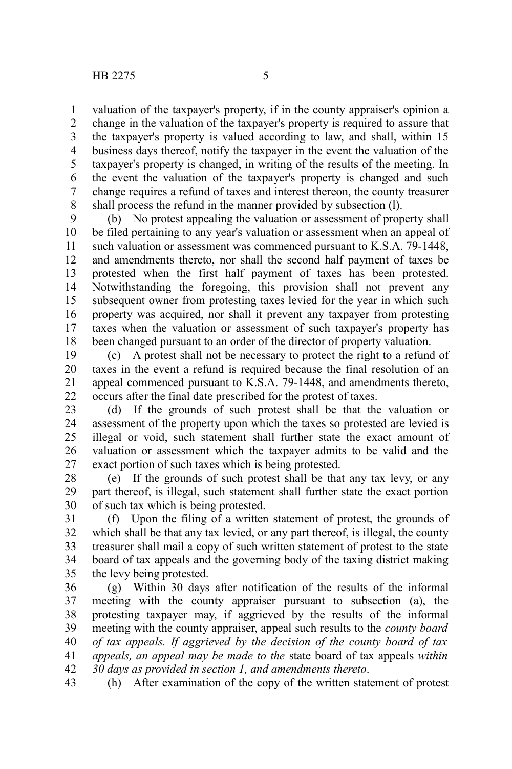valuation of the taxpayer's property, if in the county appraiser's opinion a change in the valuation of the taxpayer's property is required to assure that the taxpayer's property is valued according to law, and shall, within 15 business days thereof, notify the taxpayer in the event the valuation of the taxpayer's property is changed, in writing of the results of the meeting. In the event the valuation of the taxpayer's property is changed and such change requires a refund of taxes and interest thereon, the county treasurer shall process the refund in the manner provided by subsection (l). 1 2 3 4 5 6 7 8

(b) No protest appealing the valuation or assessment of property shall be filed pertaining to any year's valuation or assessment when an appeal of such valuation or assessment was commenced pursuant to K.S.A. 79-1448, and amendments thereto, nor shall the second half payment of taxes be protested when the first half payment of taxes has been protested. Notwithstanding the foregoing, this provision shall not prevent any subsequent owner from protesting taxes levied for the year in which such property was acquired, nor shall it prevent any taxpayer from protesting taxes when the valuation or assessment of such taxpayer's property has been changed pursuant to an order of the director of property valuation. 9 10 11 12 13 14 15 16 17 18

(c) A protest shall not be necessary to protect the right to a refund of taxes in the event a refund is required because the final resolution of an appeal commenced pursuant to K.S.A. 79-1448, and amendments thereto, occurs after the final date prescribed for the protest of taxes. 19 20 21 22

(d) If the grounds of such protest shall be that the valuation or assessment of the property upon which the taxes so protested are levied is illegal or void, such statement shall further state the exact amount of valuation or assessment which the taxpayer admits to be valid and the exact portion of such taxes which is being protested. 23 24 25 26 27

(e) If the grounds of such protest shall be that any tax levy, or any part thereof, is illegal, such statement shall further state the exact portion of such tax which is being protested. 28 29 30

(f) Upon the filing of a written statement of protest, the grounds of which shall be that any tax levied, or any part thereof, is illegal, the county treasurer shall mail a copy of such written statement of protest to the state board of tax appeals and the governing body of the taxing district making the levy being protested. 31 32 33 34 35

(g) Within 30 days after notification of the results of the informal meeting with the county appraiser pursuant to subsection (a), the protesting taxpayer may, if aggrieved by the results of the informal meeting with the county appraiser, appeal such results to the *county board of tax appeals. If aggrieved by the decision of the county board of tax appeals, an appeal may be made to the* state board of tax appeals *within 30 days as provided in section 1, and amendments thereto*. 36 37 38 39 40 41 42

(h) After examination of the copy of the written statement of protest 43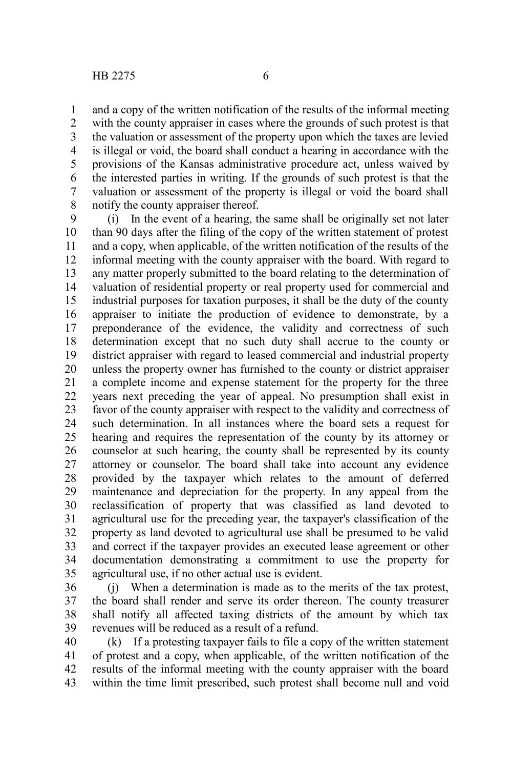and a copy of the written notification of the results of the informal meeting with the county appraiser in cases where the grounds of such protest is that the valuation or assessment of the property upon which the taxes are levied is illegal or void, the board shall conduct a hearing in accordance with the provisions of the Kansas administrative procedure act, unless waived by the interested parties in writing. If the grounds of such protest is that the valuation or assessment of the property is illegal or void the board shall notify the county appraiser thereof. 1 2 3 4 5 6 7 8

(i) In the event of a hearing, the same shall be originally set not later than 90 days after the filing of the copy of the written statement of protest and a copy, when applicable, of the written notification of the results of the informal meeting with the county appraiser with the board. With regard to any matter properly submitted to the board relating to the determination of valuation of residential property or real property used for commercial and industrial purposes for taxation purposes, it shall be the duty of the county appraiser to initiate the production of evidence to demonstrate, by a preponderance of the evidence, the validity and correctness of such determination except that no such duty shall accrue to the county or district appraiser with regard to leased commercial and industrial property unless the property owner has furnished to the county or district appraiser a complete income and expense statement for the property for the three years next preceding the year of appeal. No presumption shall exist in favor of the county appraiser with respect to the validity and correctness of such determination. In all instances where the board sets a request for hearing and requires the representation of the county by its attorney or counselor at such hearing, the county shall be represented by its county attorney or counselor. The board shall take into account any evidence provided by the taxpayer which relates to the amount of deferred maintenance and depreciation for the property. In any appeal from the reclassification of property that was classified as land devoted to agricultural use for the preceding year, the taxpayer's classification of the property as land devoted to agricultural use shall be presumed to be valid and correct if the taxpayer provides an executed lease agreement or other documentation demonstrating a commitment to use the property for agricultural use, if no other actual use is evident. 9 10 11 12 13 14 15 16 17 18 19 20 21 22 23 24 25 26 27 28 29 30 31 32 33 34 35

(j) When a determination is made as to the merits of the tax protest, the board shall render and serve its order thereon. The county treasurer shall notify all affected taxing districts of the amount by which tax revenues will be reduced as a result of a refund. 36 37 38 39

(k) If a protesting taxpayer fails to file a copy of the written statement of protest and a copy, when applicable, of the written notification of the results of the informal meeting with the county appraiser with the board within the time limit prescribed, such protest shall become null and void 40 41 42 43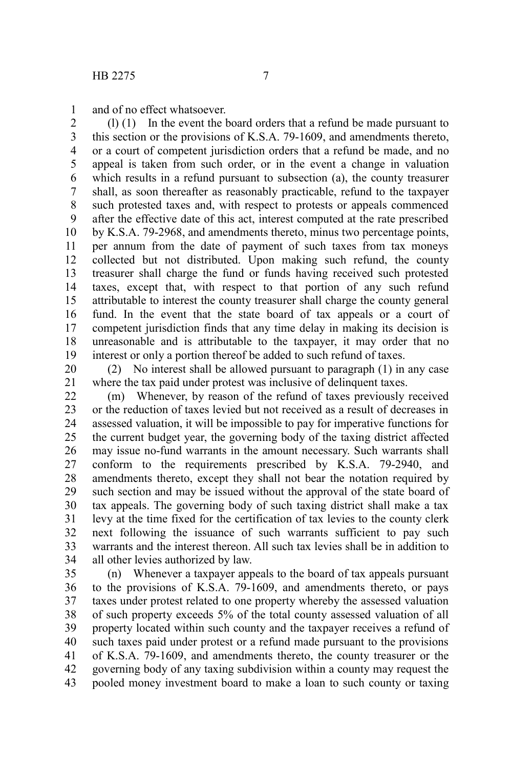and of no effect whatsoever. 1

(l) (1) In the event the board orders that a refund be made pursuant to this section or the provisions of K.S.A. 79-1609, and amendments thereto, or a court of competent jurisdiction orders that a refund be made, and no appeal is taken from such order, or in the event a change in valuation which results in a refund pursuant to subsection (a), the county treasurer shall, as soon thereafter as reasonably practicable, refund to the taxpayer such protested taxes and, with respect to protests or appeals commenced after the effective date of this act, interest computed at the rate prescribed by K.S.A. 79-2968, and amendments thereto, minus two percentage points, per annum from the date of payment of such taxes from tax moneys collected but not distributed. Upon making such refund, the county treasurer shall charge the fund or funds having received such protested taxes, except that, with respect to that portion of any such refund attributable to interest the county treasurer shall charge the county general fund. In the event that the state board of tax appeals or a court of competent jurisdiction finds that any time delay in making its decision is unreasonable and is attributable to the taxpayer, it may order that no interest or only a portion thereof be added to such refund of taxes. 2 3 4 5 6 7 8 9 10 11 12 13 14 15 16 17 18 19

(2) No interest shall be allowed pursuant to paragraph (1) in any case where the tax paid under protest was inclusive of delinquent taxes. 20 21

(m) Whenever, by reason of the refund of taxes previously received or the reduction of taxes levied but not received as a result of decreases in assessed valuation, it will be impossible to pay for imperative functions for the current budget year, the governing body of the taxing district affected may issue no-fund warrants in the amount necessary. Such warrants shall conform to the requirements prescribed by K.S.A. 79-2940, and amendments thereto, except they shall not bear the notation required by such section and may be issued without the approval of the state board of tax appeals. The governing body of such taxing district shall make a tax levy at the time fixed for the certification of tax levies to the county clerk next following the issuance of such warrants sufficient to pay such warrants and the interest thereon. All such tax levies shall be in addition to all other levies authorized by law. 22 23 24 25 26 27 28 29 30 31 32 33 34

(n) Whenever a taxpayer appeals to the board of tax appeals pursuant to the provisions of K.S.A. 79-1609, and amendments thereto, or pays taxes under protest related to one property whereby the assessed valuation of such property exceeds 5% of the total county assessed valuation of all property located within such county and the taxpayer receives a refund of such taxes paid under protest or a refund made pursuant to the provisions of K.S.A. 79-1609, and amendments thereto, the county treasurer or the governing body of any taxing subdivision within a county may request the pooled money investment board to make a loan to such county or taxing 35 36 37 38 39 40 41 42 43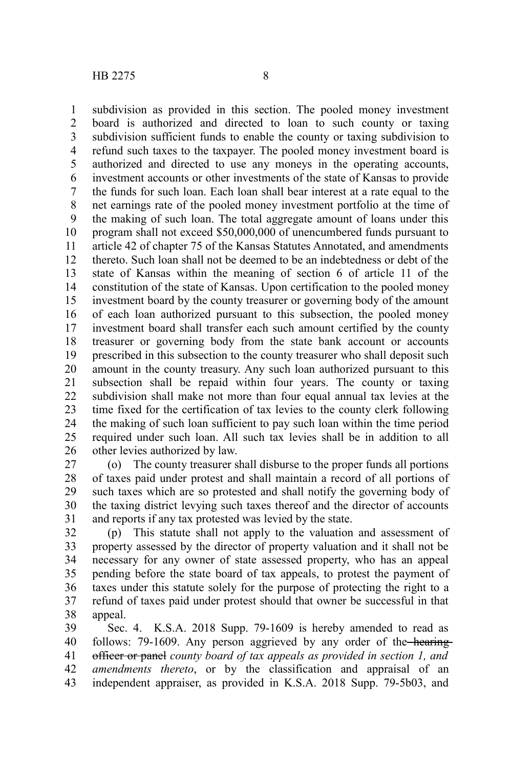subdivision as provided in this section. The pooled money investment board is authorized and directed to loan to such county or taxing subdivision sufficient funds to enable the county or taxing subdivision to refund such taxes to the taxpayer. The pooled money investment board is authorized and directed to use any moneys in the operating accounts, investment accounts or other investments of the state of Kansas to provide the funds for such loan. Each loan shall bear interest at a rate equal to the net earnings rate of the pooled money investment portfolio at the time of the making of such loan. The total aggregate amount of loans under this program shall not exceed \$50,000,000 of unencumbered funds pursuant to article 42 of chapter 75 of the Kansas Statutes Annotated, and amendments thereto. Such loan shall not be deemed to be an indebtedness or debt of the state of Kansas within the meaning of section 6 of article 11 of the constitution of the state of Kansas. Upon certification to the pooled money investment board by the county treasurer or governing body of the amount of each loan authorized pursuant to this subsection, the pooled money investment board shall transfer each such amount certified by the county treasurer or governing body from the state bank account or accounts prescribed in this subsection to the county treasurer who shall deposit such amount in the county treasury. Any such loan authorized pursuant to this subsection shall be repaid within four years. The county or taxing subdivision shall make not more than four equal annual tax levies at the time fixed for the certification of tax levies to the county clerk following the making of such loan sufficient to pay such loan within the time period required under such loan. All such tax levies shall be in addition to all other levies authorized by law. 1 2 3 4 5 6 7 8 9 10 11 12 13 14 15 16 17 18 19 20 21 22 23 24 25 26

(o) The county treasurer shall disburse to the proper funds all portions of taxes paid under protest and shall maintain a record of all portions of such taxes which are so protested and shall notify the governing body of the taxing district levying such taxes thereof and the director of accounts and reports if any tax protested was levied by the state. 27 28 29 30 31

(p) This statute shall not apply to the valuation and assessment of property assessed by the director of property valuation and it shall not be necessary for any owner of state assessed property, who has an appeal pending before the state board of tax appeals, to protest the payment of taxes under this statute solely for the purpose of protecting the right to a refund of taxes paid under protest should that owner be successful in that appeal. 32 33 34 35 36 37 38

Sec. 4. K.S.A. 2018 Supp. 79-1609 is hereby amended to read as follows: 79-1609. Any person aggrieved by any order of the hearingofficer or panel *county board of tax appeals as provided in section 1, and amendments thereto*, or by the classification and appraisal of an independent appraiser, as provided in K.S.A. 2018 Supp. 79-5b03, and 39 40 41 42 43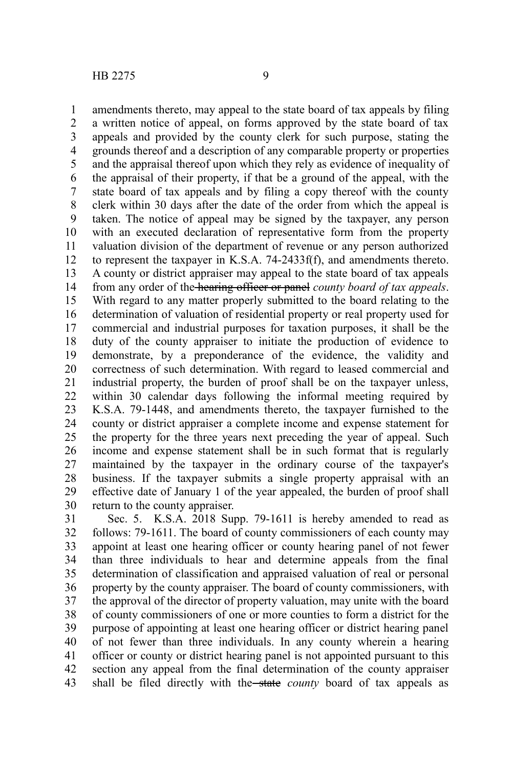1

11

amendments thereto, may appeal to the state board of tax appeals by filing a written notice of appeal, on forms approved by the state board of tax appeals and provided by the county clerk for such purpose, stating the grounds thereof and a description of any comparable property or properties and the appraisal thereof upon which they rely as evidence of inequality of the appraisal of their property, if that be a ground of the appeal, with the state board of tax appeals and by filing a copy thereof with the county clerk within 30 days after the date of the order from which the appeal is taken. The notice of appeal may be signed by the taxpayer, any person with an executed declaration of representative form from the property valuation division of the department of revenue or any person authorized to represent the taxpayer in K.S.A. 74-2433f(f), and amendments thereto. A county or district appraiser may appeal to the state board of tax appeals from any order of the hearing officer or panel *county board of tax appeals*. With regard to any matter properly submitted to the board relating to the determination of valuation of residential property or real property used for commercial and industrial purposes for taxation purposes, it shall be the duty of the county appraiser to initiate the production of evidence to demonstrate, by a preponderance of the evidence, the validity and correctness of such determination. With regard to leased commercial and industrial property, the burden of proof shall be on the taxpayer unless, within 30 calendar days following the informal meeting required by K.S.A. 79-1448, and amendments thereto, the taxpayer furnished to the county or district appraiser a complete income and expense statement for the property for the three years next preceding the year of appeal. Such income and expense statement shall be in such format that is regularly 2 3 4 5 6 7 8 9 10 12 13 14 15 16 17 18 19 20 21 22 23 24 25

maintained by the taxpayer in the ordinary course of the taxpayer's business. If the taxpayer submits a single property appraisal with an effective date of January 1 of the year appealed, the burden of proof shall return to the county appraiser. 26 27 28 29 30

Sec. 5. K.S.A. 2018 Supp. 79-1611 is hereby amended to read as follows: 79-1611. The board of county commissioners of each county may appoint at least one hearing officer or county hearing panel of not fewer than three individuals to hear and determine appeals from the final determination of classification and appraised valuation of real or personal property by the county appraiser. The board of county commissioners, with the approval of the director of property valuation, may unite with the board of county commissioners of one or more counties to form a district for the purpose of appointing at least one hearing officer or district hearing panel of not fewer than three individuals. In any county wherein a hearing officer or county or district hearing panel is not appointed pursuant to this section any appeal from the final determination of the county appraiser shall be filed directly with the state *county* board of tax appeals as 31 32 33 34 35 36 37 38 39 40 41 42 43